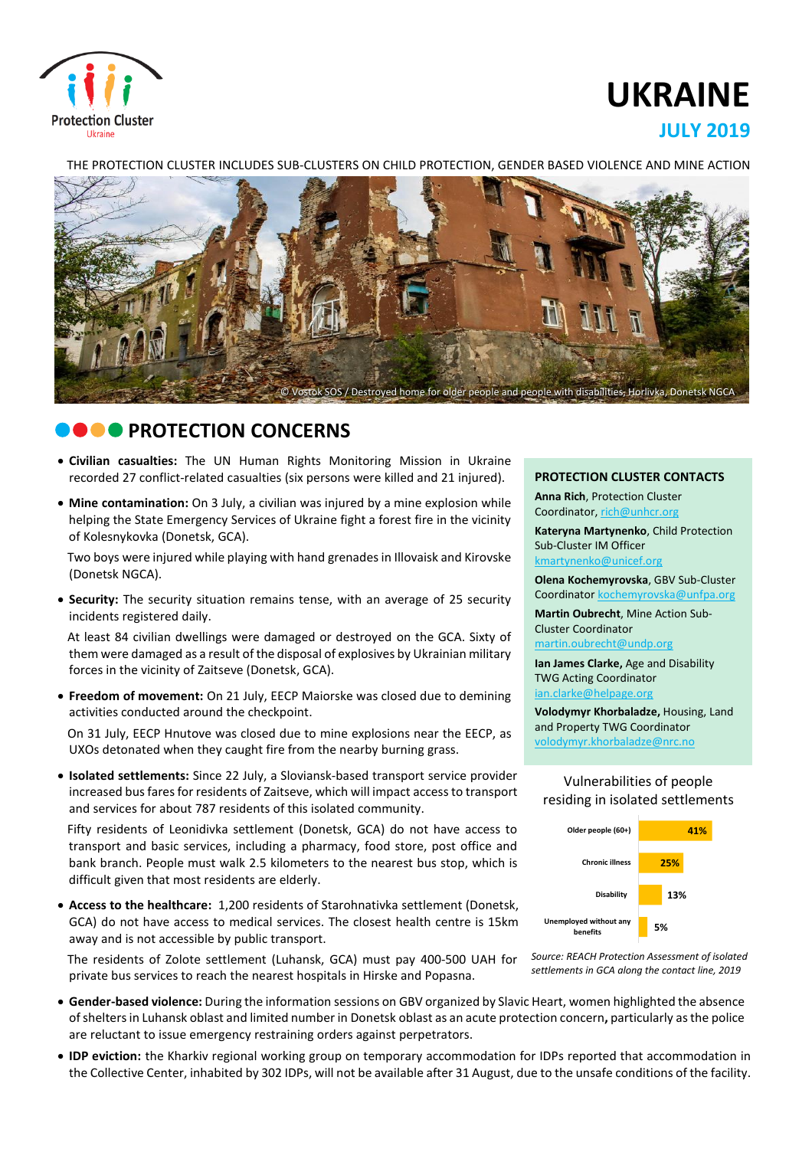

# **UKRAINE**

## **JULY 2019**

THE PROTECTION CLUSTER INCLUDES SUB-CLUSTERS ON CHILD PROTECTION, GENDER BASED VIOLENCE AND MINE ACTION



# **CONCERNS**

- **Civilian casualties:** The UN Human Rights Monitoring Mission in Ukraine recorded 27 conflict-related casualties (six persons were killed and 21 injured).
- **Mine contamination:** On 3 July, a civilian was injured by a mine explosion while helping the State Emergency Services of Ukraine fight a forest fire in the vicinity of Kolesnykovka (Donetsk, GCA).

Two boys were injured while playing with hand grenadesin Illovaisk and Kirovske (Donetsk NGCA).

 **Security:** The security situation remains tense, with an average of 25 security incidents registered daily.

At least 84 civilian dwellings were damaged or destroyed on the GCA. Sixty of them were damaged as a result of the disposal of explosives by Ukrainian military forces in the vicinity of Zaitseve (Donetsk, GCA).

 **Freedom of movement:** On 21 July, EECP Maiorske was closed due to demining activities conducted around the checkpoint.

On 31 July, EECP Hnutove was closed due to mine explosions near the EECP, as UXOs detonated when they caught fire from the nearby burning grass.

 **Isolated settlements:** Since 22 July, a Sloviansk-based transport service provider increased bus fares for residents of Zaitseve, which will impact access to transport and services for about 787 residents of this isolated community.

Fifty residents of Leonidivka settlement (Donetsk, GCA) do not have access to transport and basic services, including a pharmacy, food store, post office and bank branch. People must walk 2.5 kilometers to the nearest bus stop, which is difficult given that most residents are elderly.

 **Access to the healthcare:** 1,200 residents of Starohnativka settlement (Donetsk, GCA) do not have access to medical services. The closest health centre is 15km away and is not accessible by public transport.

The residents of Zolote settlement (Luhansk, GCA) must pay 400-500 UAH for private bus services to reach the nearest hospitals in Hirske and Popasna.

**PROTECTION CLUSTER CONTACTS**

**Anna Rich**, Protection Cluster Coordinator, [rich@unhcr.org](mailto:rich@unhcr.org)

**Kateryna Martynenko**, Child Protection Sub-Cluster IM Officer kmartynenko@unicef.org

**Olena Kochemyrovska**, GBV Sub-Cluster Coordinator [kochemyrovska@unfpa.org](mailto:kristesashvili@unfpa.org)

**Martin Oubrecht**, Mine Action Sub-Cluster Coordinator [martin.oubrecht@undp.org](mailto:martin.oubrecht@undp.org)

**Ian James Clarke,** Age and Disability TWG Acting Coordinator ian.clarke@helpage.org

**Volodymyr Khorbaladze,** Housing, Land and Property TWG Coordinator [volodymyr.khorbaladze@nrc.no](mailto:volodymyr.khorbaladze@nrc.no)

#### Vulnerabilities of people residing in isolated settlements





- **Gender-based violence:** During the information sessions on GBV organized by Slavic Heart, women highlighted the absence ofsheltersin Luhansk oblast and limited number in Donetsk oblast as an acute protection concern**,** particularly asthe police are reluctant to issue emergency restraining orders against perpetrators.
- **IDP eviction:** the Kharkiv regional working group on temporary accommodation for IDPs reported that accommodation in the Collective Center, inhabited by 302 IDPs, will not be available after 31 August, due to the unsafe conditions of the facility.